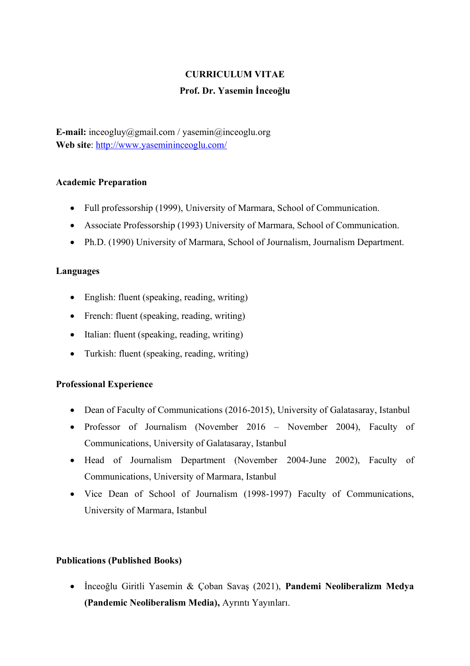# **CURRICULUM VITAE Prof. Dr. Yasemin İnceoğlu**

**E-mail:** inceogluy@gmail.com / yasemin@inceoglu.org **Web site**:<http://www.yasemininceoglu.com/>

## **Academic Preparation**

- Full professorship (1999), University of Marmara, School of Communication.
- Associate Professorship (1993) University of Marmara, School of Communication.
- Ph.D. (1990) University of Marmara, School of Journalism, Journalism Department.

## **Languages**

- English: fluent (speaking, reading, writing)
- French: fluent (speaking, reading, writing)
- Italian: fluent (speaking, reading, writing)
- Turkish: fluent (speaking, reading, writing)

## **Professional Experience**

- Dean of Faculty of Communications (2016-2015), University of Galatasaray, Istanbul
- Professor of Journalism (November 2016 November 2004), Faculty of Communications, University of Galatasaray, Istanbul
- Head of Journalism Department (November 2004-June 2002), Faculty of Communications, University of Marmara, Istanbul
- Vice Dean of School of Journalism (1998-1997) Faculty of Communications, University of Marmara, Istanbul

## **Publications (Published Books)**

• İnceoğlu Giritli Yasemin & Çoban Savaş (2021), **Pandemi Neoliberalizm Medya (Pandemic Neoliberalism Media),** Ayrıntı Yayınları.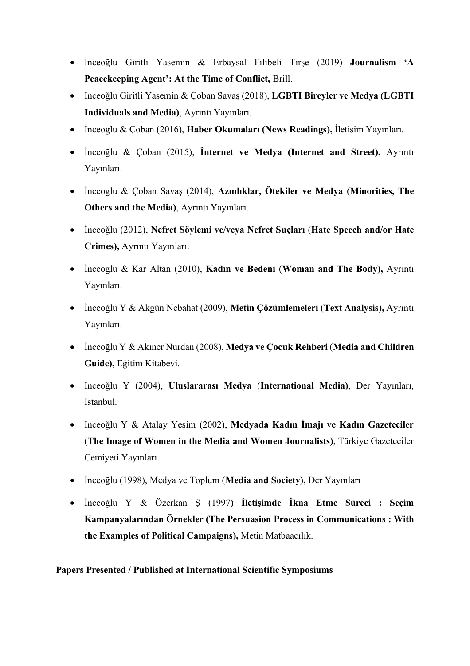- İnceoğlu Giritli Yasemin & Erbaysal Filibeli Tirşe (2019) **Journalism 'A Peacekeeping Agent': At the Time of Conflict,** Brill.
- İnceoğlu Giritli Yasemin & Çoban Savaş (2018), **LGBTI Bireyler ve Medya (LGBTI Individuals and Media)**, Ayrıntı Yayınları.
- İnceoglu & Çoban (2016), **Haber Okumaları (News Readings),** İletişim Yayınları.
- İnceoğlu & Çoban (2015), **İnternet ve Medya (Internet and Street),** Ayrıntı Yayınları.
- İnceoglu & Çoban Savaş (2014), **Azınlıklar, Ötekiler ve Medya** (**Minorities, The Others and the Media)**, Ayrıntı Yayınları.
- İnceoğlu (2012), **Nefret Söylemi ve/veya Nefret Suçları** (**Hate Speech and/or Hate Crimes),** Ayrıntı Yayınları.
- İnceoglu & Kar Altan (2010), **Kadın ve Bedeni** (**Woman and The Body),** Ayrıntı Yayınları.
- İnceoğlu Y & Akgün Nebahat (2009), **Metin Çözümlemeleri** (**Text Analysis),** Ayrıntı Yayınları.
- İnceoğlu Y & Akıner Nurdan (2008), **Medya ve Çocuk Rehberi** (**Media and Children Guide),** Eğitim Kitabevi.
- İnceoğlu Y (2004), **Uluslararası Medya** (**International Media)**, Der Yayınları, Istanbul.
- İnceoğlu Y & Atalay Yeşim (2002), **Medyada Kadın İmajı ve Kadın Gazeteciler** (**The Image of Women in the Media and Women Journalists)**, Türkiye Gazeteciler Cemiyeti Yayınları.
- İnceoğlu (1998), Medya ve Toplum (**Media and Society),** Der Yayınları
- İnceoğlu Y & Özerkan Ş (1997**) İletişimde İkna Etme Süreci : Seçim Kampanyalarından Örnekler (The Persuasion Process in Communications : With the Examples of Political Campaigns),** Metin Matbaacılık.

**Papers Presented / Published at International Scientific Symposiums**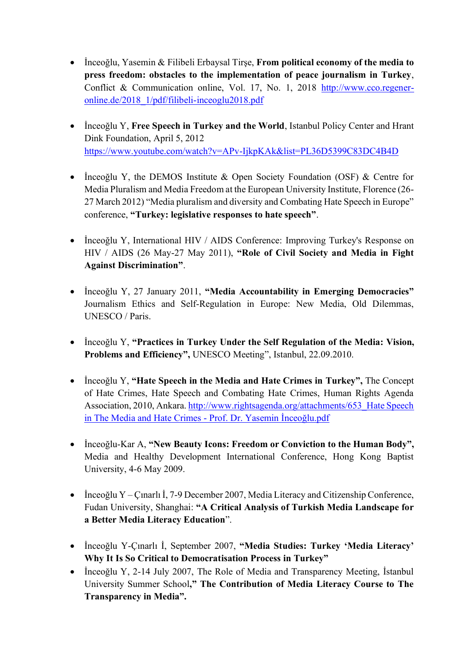- İnceoğlu, Yasemin & Filibeli Erbaysal Tirşe, **From political economy of the media to press freedom: obstacles to the implementation of peace journalism in Turkey**, Conflict & Communication online, Vol. 17, No. 1, 2018 [http://www.cco.regener](http://www.cco.regener-online.de/2018_1/pdf/filibeli-inceoglu2018.pdf)[online.de/2018\\_1/pdf/filibeli-inceoglu2018.pdf](http://www.cco.regener-online.de/2018_1/pdf/filibeli-inceoglu2018.pdf)
- İnceoğlu Y, **Free Speech in Turkey and the World**, Istanbul Policy Center and Hrant Dink Foundation, April 5, 2012 <https://www.youtube.com/watch?v=APv-IjkpKAk&list=PL36D5399C83DC4B4D>
- Inceoğlu Y, the DEMOS Institute & Open Society Foundation (OSF) & Centre for Media Pluralism and Media Freedom at the European University Institute, Florence (26- 27 March 2012) "Media pluralism and diversity and Combating Hate Speech in Europe" conference, **"Turkey: legislative responses to hate speech"**.
- İnceoğlu Y, International HIV / AIDS Conference: Improving Turkey's Response on HIV / AIDS (26 May-27 May 2011), **"Role of Civil Society and Media in Fight Against Discrimination"**.
- İnceoğlu Y, 27 January 2011, **"Media Accountability in Emerging Democracies"**  Journalism Ethics and Self-Regulation in Europe: New Media, Old Dilemmas, UNESCO / Paris.
- İnceoğlu Y, **"Practices in Turkey Under the Self Regulation of the Media: Vision, Problems and Efficiency",** UNESCO Meeting", Istanbul, 22.09.2010.
- İnceoğlu Y, **"Hate Speech in the Media and Hate Crimes in Turkey",** The Concept of Hate Crimes, Hate Speech and Combating Hate Crimes, Human Rights Agenda Association, 2010, Ankara[. http://www.rightsagenda.org/attachments/653\\_Hate Speech](http://www.rightsagenda.org/attachments/653_Hate%20Speech%20in%20The%20Media%20and%20Hate%20Crimes%20-%20Prof.%20Dr.%20Yasemin%20İnceoğlu.pdf)  [in The Media and Hate Crimes -](http://www.rightsagenda.org/attachments/653_Hate%20Speech%20in%20The%20Media%20and%20Hate%20Crimes%20-%20Prof.%20Dr.%20Yasemin%20İnceoğlu.pdf) Prof. Dr. Yasemin İnceoğlu.pdf
- İnceoğlu-Kar A, **"New Beauty Icons: Freedom or Conviction to the Human Body",**  Media and Healthy Development International Conference, Hong Kong Baptist University, 4-6 May 2009.
- İnceoğlu Y Çınarlı İ, 7-9 December 2007, Media Literacy and Citizenship Conference, Fudan University, Shanghai: **"A Critical Analysis of Turkish Media Landscape for a Better Media Literacy Education**".
- İnceoğlu Y-Çınarlı İ, September 2007, **"Media Studies: Turkey 'Media Literacy' Why It Is So Critical to Democratisation Process in Turkey"**
- İnceoğlu Y, 2-14 July 2007, The Role of Media and Transparency Meeting, İstanbul University Summer School**," The Contribution of Media Literacy Course to The Transparency in Media".**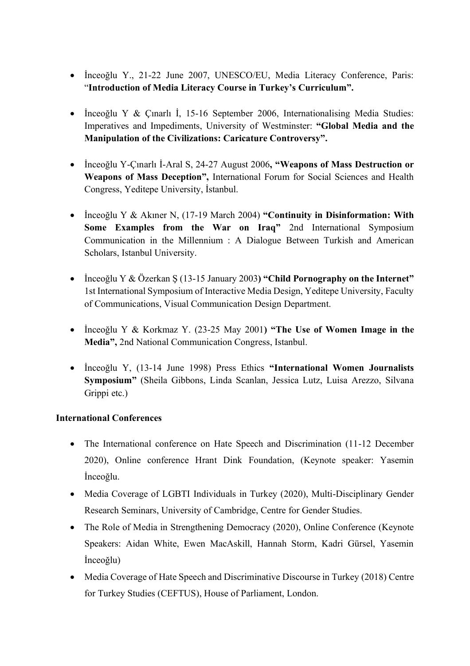- İnceoğlu Y., 21-22 June 2007, UNESCO/EU, Media Literacy Conference, Paris: "**Introduction of Media Literacy Course in Turkey's Curriculum".**
- İnceoğlu Y & Çınarlı İ, 15-16 September 2006, Internationalising Media Studies: Imperatives and Impediments, University of Westminster: **"Global Media and the Manipulation of the Civilizations: Caricature Controversy".**
- İnceoğlu Y-Çınarlı İ-Aral S, 24-27 August 2006**, "Weapons of Mass Destruction or Weapons of Mass Deception",** International Forum for Social Sciences and Health Congress, Yeditepe University, İstanbul.
- İnceoğlu Y & Akıner N, (17-19 March 2004) **"Continuity in Disinformation: With Some Examples from the War on Iraq"** 2nd International Symposium Communication in the Millennium : A Dialogue Between Turkish and American Scholars, Istanbul University.
- İnceoğlu Y & Özerkan Ş (13-15 January 2003**) "Child Pornography on the Internet"**  1st International Symposium of Interactive Media Design, Yeditepe University, Faculty of Communications, Visual Communication Design Department.
- İnceoğlu Y & Korkmaz Y. (23-25 May 2001**) "The Use of Women Image in the Media",** 2nd National Communication Congress, Istanbul.
- İnceoğlu Y, (13-14 June 1998) Press Ethics **"International Women Journalists Symposium"** (Sheila Gibbons, Linda Scanlan, Jessica Lutz, Luisa Arezzo, Silvana Grippi etc.)

# **International Conferences**

- The International conference on Hate Speech and Discrimination (11-12 December 2020), Online conference Hrant Dink Foundation, (Keynote speaker: Yasemin İnceoğlu.
- Media Coverage of LGBTI Individuals in Turkey (2020), Multi-Disciplinary Gender Research Seminars, University of Cambridge, Centre for Gender Studies.
- The Role of Media in Strengthening Democracy (2020), Online Conference (Keynote Speakers: Aidan White, Ewen MacAskill, Hannah Storm, Kadri Gürsel, Yasemin İnceoğlu)
- Media Coverage of Hate Speech and Discriminative Discourse in Turkey (2018) Centre for Turkey Studies (CEFTUS), House of Parliament, London.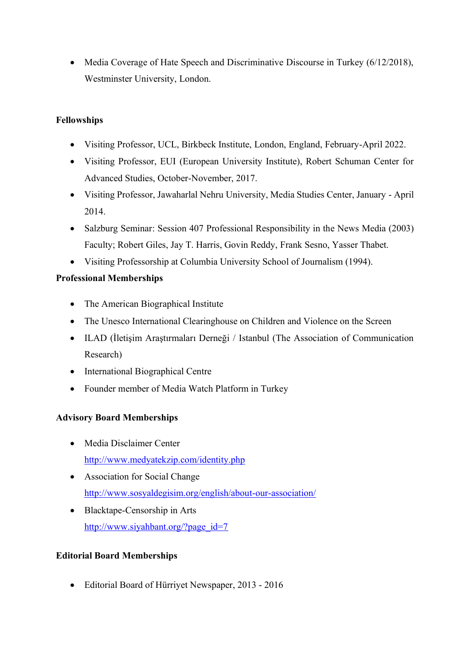• Media Coverage of Hate Speech and Discriminative Discourse in Turkey (6/12/2018), Westminster University, London.

## **Fellowships**

- Visiting Professor, UCL, Birkbeck Institute, London, England, February-April 2022.
- Visiting Professor, EUI (European University Institute), Robert Schuman Center for Advanced Studies, October-November, 2017.
- Visiting Professor, Jawaharlal Nehru University, Media Studies Center, January April 2014.
- Salzburg Seminar: Session 407 Professional Responsibility in the News Media (2003) Faculty; Robert Giles, Jay T. Harris, Govin Reddy, Frank Sesno, Yasser Thabet.
- Visiting Professorship at Columbia University School of Journalism (1994).

# **Professional Memberships**

- The American Biographical Institute
- The Unesco International Clearinghouse on Children and Violence on the Screen
- ILAD (İletişim Araştırmaları Derneği / Istanbul (The Association of Communication Research)
- International Biographical Centre
- Founder member of Media Watch Platform in Turkey

# **Advisory Board Memberships**

- Media Disclaimer Center <http://www.medyatekzip.com/identity.php>
- Association for Social Change <http://www.sosyaldegisim.org/english/about-our-association/>
- Blacktape-Censorship in Arts [http://www.siyahbant.org/?page\\_id=7](http://www.siyahbant.org/?page_id=7)

# **Editorial Board Memberships**

• Editorial Board of Hürriyet Newspaper, 2013 - 2016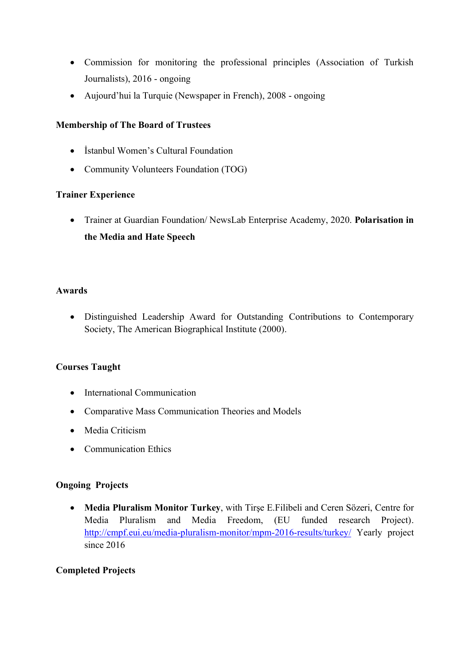- Commission for monitoring the professional principles (Association of Turkish Journalists), 2016 - ongoing
- Aujourd'hui la Turquie (Newspaper in French), 2008 ongoing

## **Membership of The Board of Trustees**

- İstanbul Women's Cultural Foundation
- Community Volunteers Foundation (TOG)

## **Trainer Experience**

• Trainer at Guardian Foundation/ NewsLab Enterprise Academy, 2020. **Polarisation in the Media and Hate Speech**

#### **Awards**

• Distinguished Leadership Award for Outstanding Contributions to Contemporary Society, The American Biographical Institute (2000).

## **Courses Taught**

- International Communication
- Comparative Mass Communication Theories and Models
- Media Criticism
- Communication Ethics

## **Ongoing Projects**

• **Media Pluralism Monitor Turkey**, with Tirşe E.Filibeli and Ceren Sözeri, Centre for Media Pluralism and Media Freedom, (EU funded research Project). <http://cmpf.eui.eu/media-pluralism-monitor/mpm-2016-results/turkey/> Yearly project since 2016

## **Completed Projects**